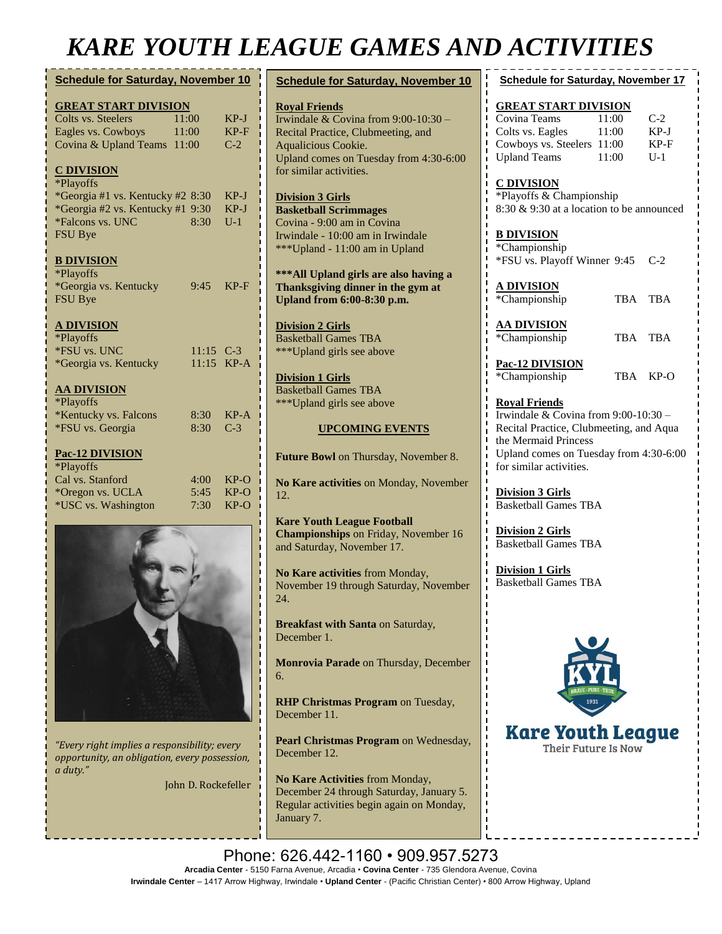## *KARE YOUTH LEAGUE GAMES AND ACTIVITIES*

| <b>Schedule for Saturday, November 10</b>                                                                                                                                  | <b>Schedule for Saturday, November 10</b>                                                                                                                           | <b>Schedule for Saturday, November 17</b>                                                                                                                                           |  |  |
|----------------------------------------------------------------------------------------------------------------------------------------------------------------------------|---------------------------------------------------------------------------------------------------------------------------------------------------------------------|-------------------------------------------------------------------------------------------------------------------------------------------------------------------------------------|--|--|
| <b>GREAT START DIVISION</b><br>11:00<br>$KP-J$<br>Colts vs. Steelers<br>$KP-F$<br>Eagles vs. Cowboys<br>11:00<br>Covina & Upland Teams 11:00<br>$C-2$                      | <b>Royal Friends</b><br>Irwindale & Covina from 9:00-10:30 -<br>Recital Practice, Clubmeeting, and<br>Aqualicious Cookie.<br>Upland comes on Tuesday from 4:30-6:00 | <b>GREAT START DIVISION</b><br>Covina Teams<br>$C-2$<br>11:00<br>$KP-J$<br>Colts vs. Eagles<br>11:00<br>Cowboys vs. Steelers 11:00<br>KP-F<br><b>Upland Teams</b><br>11:00<br>$U-1$ |  |  |
| <b>C DIVISION</b><br>*Playoffs<br>*Georgia #1 vs. Kentucky #2 8:30<br>$KP-J$<br>*Georgia #2 vs. Kentucky #1 9:30<br>$KP-J$<br>*Falcons vs. UNC<br>8:30<br>$U-1$<br>FSU Bye | for similar activities.<br><b>Division 3 Girls</b><br><b>Basketball Scrimmages</b><br>Covina - 9:00 am in Covina<br>Irwindale - 10:00 am in Irwindale               | <b>C DIVISION</b><br>*Playoffs & Championship<br>8:30 & 9:30 at a location to be announced<br><b>B DIVISION</b>                                                                     |  |  |
| <b>B DIVISION</b><br>*Playoffs<br>*Georgia vs. Kentucky<br>$KP-F$<br>9:45                                                                                                  | ***Upland - 11:00 am in Upland<br>*** All Upland girls are also having a<br>Thanksgiving dinner in the gym at                                                       | *Championship<br>*FSU vs. Playoff Winner 9:45<br>$C-2$<br><u>A DIVISION</u>                                                                                                         |  |  |
| FSU Bye<br><b>A DIVISION</b><br>*Playoffs                                                                                                                                  | <b>Upland from 6:00-8:30 p.m.</b><br><b>Division 2 Girls</b><br><b>Basketball Games TBA</b>                                                                         | *Championship<br>TBA TBA<br><b>AA DIVISION</b><br>*Championship<br>TBA TBA                                                                                                          |  |  |
| *FSU vs. UNC<br>$11:15$ C-3<br>11:15 KP-A<br>*Georgia vs. Kentucky<br><b>AA DIVISION</b><br>*Playoffs                                                                      | *** Upland girls see above<br><b>Division 1 Girls</b><br><b>Basketball Games TBA</b>                                                                                | Pac-12 DIVISION<br>*Championship<br>TBA KP-O                                                                                                                                        |  |  |
| *Kentucky vs. Falcons<br>$KP-A$<br>8:30<br>*FSU vs. Georgia<br>8:30<br>$C-3$                                                                                               | ***Upland girls see above<br><b>UPCOMING EVENTS</b>                                                                                                                 | <b>Royal Friends</b><br>Irwindale & Covina from $9:00-10:30$ -<br>Recital Practice, Clubmeeting, and Aqua<br>the Mermaid Princess                                                   |  |  |
| Pac-12 DIVISION<br>*Playoffs                                                                                                                                               | Future Bowl on Thursday, November 8.                                                                                                                                | Upland comes on Tuesday from 4:30-6:00<br>for similar activities.                                                                                                                   |  |  |
| Cal vs. Stanford<br>4:00<br>$KP-O$<br>*Oregon vs. UCLA<br>5:45<br>$KP-O$<br>*USC vs. Washington<br>7:30<br>$KP-O$                                                          | No Kare activities on Monday, November<br>12.                                                                                                                       | <b>Division 3 Girls</b><br><b>Basketball Games TBA</b>                                                                                                                              |  |  |
|                                                                                                                                                                            | <b>Kare Youth League Football</b><br><b>Championships</b> on Friday, November 16<br>and Saturday, November 17.                                                      | <b>Division 2 Girls</b><br><b>Basketball Games TBA</b>                                                                                                                              |  |  |
|                                                                                                                                                                            | No Kare activities from Monday,<br>November 19 through Saturday, November<br>24.                                                                                    | <b>Division 1 Girls</b><br><b>Basketball Games TBA</b>                                                                                                                              |  |  |
|                                                                                                                                                                            | Breakfast with Santa on Saturday,<br>December 1.                                                                                                                    |                                                                                                                                                                                     |  |  |
|                                                                                                                                                                            | <b>Monrovia Parade</b> on Thursday, December                                                                                                                        |                                                                                                                                                                                     |  |  |

**No Kare Activities** from Monday, December 24 through Saturday, January 5. Regular activities begin again on Monday,

**RHP Christmas Program** on Tuesday,

**Pearl Christmas Program** on Wednesday,

**Kare Youth League** Their Future Is Now

*"Every right implies a responsibility; every opportunity, an obligation, every possession,* 

John D. Rockefeller

6.

December 11.

December 12.

January 7.

*a duty."*